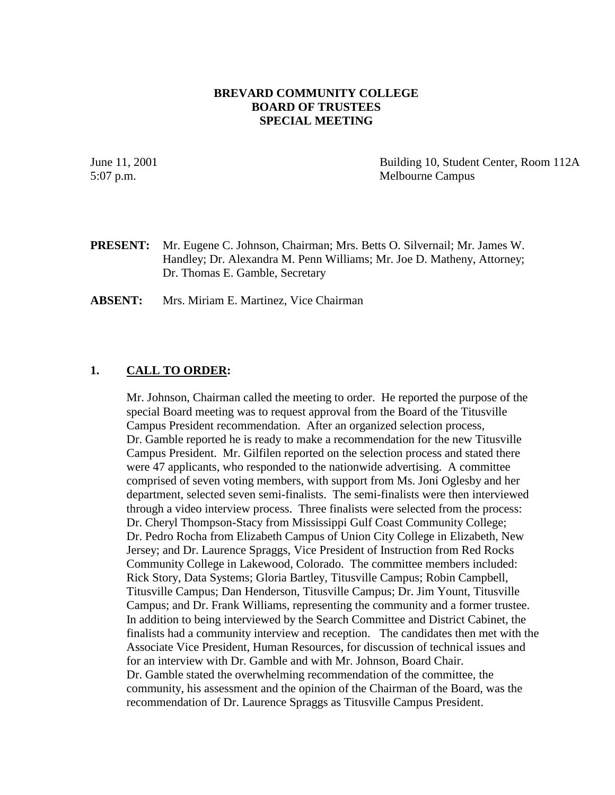## **BREVARD COMMUNITY COLLEGE BOARD OF TRUSTEES SPECIAL MEETING**

June 11, 2001 Building 10, Student Center, Room 112A 5:07 p.m. Melbourne Campus

**PRESENT:** Mr. Eugene C. Johnson, Chairman; Mrs. Betts O. Silvernail; Mr. James W. Handley; Dr. Alexandra M. Penn Williams; Mr. Joe D. Matheny, Attorney; Dr. Thomas E. Gamble, Secretary

**ABSENT:** Mrs. Miriam E. Martinez, Vice Chairman

## **1. CALL TO ORDER:**

Mr. Johnson, Chairman called the meeting to order. He reported the purpose of the special Board meeting was to request approval from the Board of the Titusville Campus President recommendation. After an organized selection process, Dr. Gamble reported he is ready to make a recommendation for the new Titusville Campus President. Mr. Gilfilen reported on the selection process and stated there were 47 applicants, who responded to the nationwide advertising. A committee comprised of seven voting members, with support from Ms. Joni Oglesby and her department, selected seven semi-finalists. The semi-finalists were then interviewed through a video interview process. Three finalists were selected from the process: Dr. Cheryl Thompson-Stacy from Mississippi Gulf Coast Community College; Dr. Pedro Rocha from Elizabeth Campus of Union City College in Elizabeth, New Jersey; and Dr. Laurence Spraggs, Vice President of Instruction from Red Rocks Community College in Lakewood, Colorado. The committee members included: Rick Story, Data Systems; Gloria Bartley, Titusville Campus; Robin Campbell, Titusville Campus; Dan Henderson, Titusville Campus; Dr. Jim Yount, Titusville Campus; and Dr. Frank Williams, representing the community and a former trustee. In addition to being interviewed by the Search Committee and District Cabinet, the finalists had a community interview and reception. The candidates then met with the Associate Vice President, Human Resources, for discussion of technical issues and for an interview with Dr. Gamble and with Mr. Johnson, Board Chair. Dr. Gamble stated the overwhelming recommendation of the committee, the community, his assessment and the opinion of the Chairman of the Board, was the recommendation of Dr. Laurence Spraggs as Titusville Campus President.